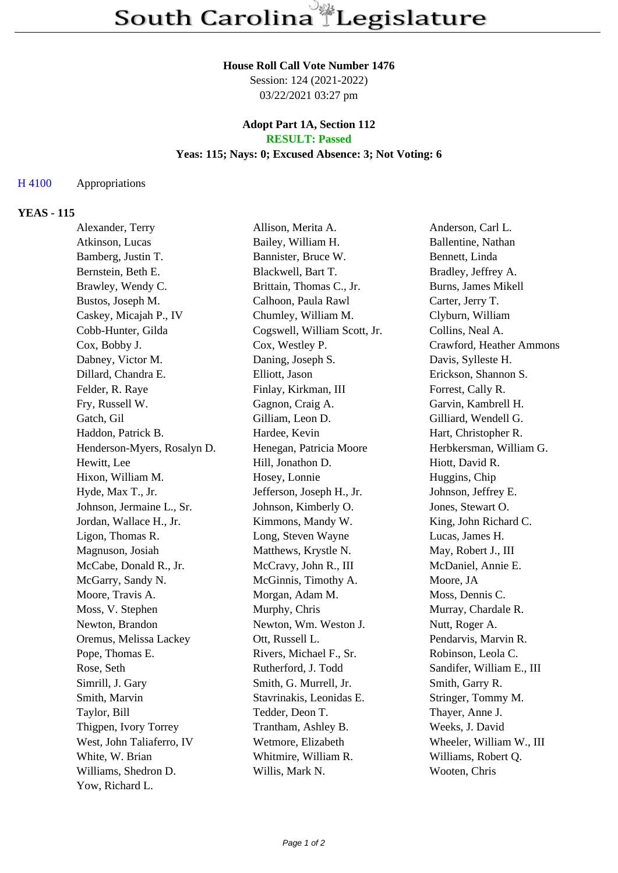## **House Roll Call Vote Number 1476**

Session: 124 (2021-2022) 03/22/2021 03:27 pm

#### **Adopt Part 1A, Section 112 RESULT: Passed**

# **Yeas: 115; Nays: 0; Excused Absence: 3; Not Voting: 6**

### H 4100 Appropriations

## **YEAS - 115**

| Alexander, Terry            | Allison, Merita A.           | Anderson, Carl L.          |
|-----------------------------|------------------------------|----------------------------|
| Atkinson, Lucas             | Bailey, William H.           | Ballentine, Nathan         |
| Bamberg, Justin T.          | Bannister, Bruce W.          | Bennett, Linda             |
| Bernstein, Beth E.          | Blackwell, Bart T.           | Bradley, Jeffrey A.        |
| Brawley, Wendy C.           | Brittain, Thomas C., Jr.     | <b>Burns, James Mikell</b> |
| Bustos, Joseph M.           | Calhoon, Paula Rawl          | Carter, Jerry T.           |
| Caskey, Micajah P., IV      | Chumley, William M.          | Clyburn, William           |
| Cobb-Hunter, Gilda          | Cogswell, William Scott, Jr. | Collins, Neal A.           |
| Cox, Bobby J.               | Cox, Westley P.              | Crawford, Heather Ammons   |
| Dabney, Victor M.           | Daning, Joseph S.            | Davis, Sylleste H.         |
| Dillard, Chandra E.         | Elliott, Jason               | Erickson, Shannon S.       |
| Felder, R. Raye             | Finlay, Kirkman, III         | Forrest, Cally R.          |
| Fry, Russell W.             | Gagnon, Craig A.             | Garvin, Kambrell H.        |
| Gatch, Gil                  | Gilliam, Leon D.             | Gilliard, Wendell G.       |
| Haddon, Patrick B.          | Hardee, Kevin                | Hart, Christopher R.       |
| Henderson-Myers, Rosalyn D. | Henegan, Patricia Moore      | Herbkersman, William G.    |
| Hewitt, Lee                 | Hill, Jonathon D.            | Hiott, David R.            |
| Hixon, William M.           | Hosey, Lonnie                | Huggins, Chip              |
| Hyde, Max T., Jr.           | Jefferson, Joseph H., Jr.    | Johnson, Jeffrey E.        |
| Johnson, Jermaine L., Sr.   | Johnson, Kimberly O.         | Jones, Stewart O.          |
| Jordan, Wallace H., Jr.     | Kimmons, Mandy W.            | King, John Richard C.      |
| Ligon, Thomas R.            | Long, Steven Wayne           | Lucas, James H.            |
| Magnuson, Josiah            | Matthews, Krystle N.         | May, Robert J., III        |
| McCabe, Donald R., Jr.      | McCravy, John R., III        | McDaniel, Annie E.         |
| McGarry, Sandy N.           | McGinnis, Timothy A.         | Moore, JA                  |
| Moore, Travis A.            | Morgan, Adam M.              | Moss, Dennis C.            |
| Moss, V. Stephen            | Murphy, Chris                | Murray, Chardale R.        |
| Newton, Brandon             | Newton, Wm. Weston J.        | Nutt, Roger A.             |
| Oremus, Melissa Lackey      | Ott, Russell L.              | Pendarvis, Marvin R.       |
| Pope, Thomas E.             | Rivers, Michael F., Sr.      | Robinson, Leola C.         |
| Rose, Seth                  | Rutherford, J. Todd          | Sandifer, William E., III  |
| Simrill, J. Gary            | Smith, G. Murrell, Jr.       | Smith, Garry R.            |
| Smith, Marvin               | Stavrinakis, Leonidas E.     | Stringer, Tommy M.         |
| Taylor, Bill                | Tedder, Deon T.              | Thayer, Anne J.            |
| Thigpen, Ivory Torrey       | Trantham, Ashley B.          | Weeks, J. David            |
| West, John Taliaferro, IV   | Wetmore, Elizabeth           | Wheeler, William W., III   |
| White, W. Brian             | Whitmire, William R.         | Williams, Robert Q.        |
| Williams, Shedron D.        | Willis, Mark N.              | Wooten, Chris              |
| Yow, Richard L.             |                              |                            |